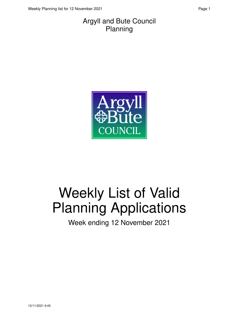#### Argyll and Bute Council Planning



# Weekly List of Valid Planning Applications

Week ending 12 November 2021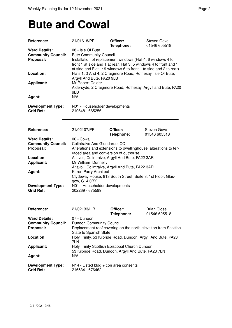### **Bute and Cowal**

| <b>Reference:</b>                                              | 21/01618/PP                                                                                                                                                                                                                                                 | Officer:<br>Telephone: | Steven Gove<br>01546 605518                                  |  |
|----------------------------------------------------------------|-------------------------------------------------------------------------------------------------------------------------------------------------------------------------------------------------------------------------------------------------------------|------------------------|--------------------------------------------------------------|--|
| <b>Ward Details:</b><br><b>Community Council:</b><br>Proposal: | 08 - Isle Of Bute<br><b>Bute Community Council</b><br>Installation of replacement windows (Flat 4: 6 windows 4 to<br>front 1 at side and 1 at rear, Flat 3: 5 windows 4 to front and 1<br>at side and Flat 1: 9 windows 6 to front 1 to side and 2 to rear) |                        |                                                              |  |
| Location:                                                      | Flats 1, 3 And 4, 2 Craigmore Road, Rothesay, Isle Of Bute,<br>Argyll And Bute, PA20 9LB                                                                                                                                                                    |                        |                                                              |  |
| <b>Applicant:</b>                                              | Mr Robert Calder<br>9LB                                                                                                                                                                                                                                     |                        | Aldersyde, 2 Craigmore Road, Rothesay, Argyll and Bute, PA20 |  |
| Agent:                                                         | N/A                                                                                                                                                                                                                                                         |                        |                                                              |  |
| <b>Development Type:</b><br><b>Grid Ref:</b>                   | N01 - Householder developments<br>210648 - 665256                                                                                                                                                                                                           |                        |                                                              |  |
| Reference:                                                     | 21/02107/PP                                                                                                                                                                                                                                                 | Officer:<br>Telephone: | Steven Gove<br>01546 605518                                  |  |
| <b>Ward Details:</b><br><b>Community Council:</b><br>Proposal: | 06 - Cowal<br><b>Colintraive And Glendaruel CC</b><br>Alterations and extensions to dwellinghouse, alterations to ter-<br>raced area and conversion of outhouse                                                                                             |                        |                                                              |  |
| Location:<br><b>Applicant:</b>                                 | Altavoil, Colintraive, Argyll And Bute, PA22 3AR<br>Mr William Donnelly<br>Altavoil, Colintraive, Argyll And Bute, PA22 3AR                                                                                                                                 |                        |                                                              |  |
| Agent:                                                         | Karen Parry Architect<br>Clydeway House, 813 South Street, Suite 3, 1st Floor, Glas-<br>gow, G14 0BX                                                                                                                                                        |                        |                                                              |  |
| <b>Development Type:</b><br><b>Grid Ref:</b>                   | N01 - Householder developments<br>202269 - 675599                                                                                                                                                                                                           |                        |                                                              |  |
| <b>Reference:</b>                                              | 21/02133/LIB                                                                                                                                                                                                                                                | Officer:<br>Telephone: | <b>Brian Close</b><br>01546 605518                           |  |
| <b>Ward Details:</b><br><b>Community Council:</b><br>Proposal: | 07 - Dunoon<br><b>Dunoon Community Council</b><br>Replacement roof covering on the north elevation from Scottish<br>Slate to Spanish Slate                                                                                                                  |                        |                                                              |  |
| Location:                                                      | Holy Trinity, 53 Kilbride Road, Dunoon, Argyll And Bute, PA23<br>7LN                                                                                                                                                                                        |                        |                                                              |  |
| <b>Applicant:</b>                                              | Holy Trinity Scottish Episcopal Church Dunoon<br>53 Kilbride Road, Dunoon, Argyll And Bute, PA23 7LN                                                                                                                                                        |                        |                                                              |  |
| Agent:                                                         | N/A                                                                                                                                                                                                                                                         |                        |                                                              |  |
| <b>Development Type:</b><br><b>Grid Ref:</b>                   | $N14$ - Listed bldg + con area consents<br>216534 - 676462                                                                                                                                                                                                  |                        |                                                              |  |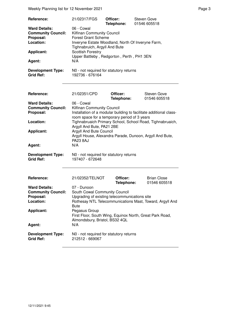Weekly Planning list for 12 November 2021 **Page 3** Page 3

| Reference:<br><b>Ward Details:</b><br><b>Community Council:</b><br>Proposal:<br>Location:<br><b>Applicant:</b><br>Agent:<br><b>Development Type:</b><br><b>Grid Ref:</b> | 21/02317/FGS<br>06 - Cowal<br>Kilfinan Community Council<br><b>Forest Grant Scheme</b><br>Inveryne Estate Woodland, North Of Inveryne Farm,<br>Tighnabruich, Argyll And Bute<br><b>Scottish Forestry</b><br>Upper Battleby, Redgorton, Perth, PH1 3EN<br>N/A<br>N0 - not required for statutory returns<br>192736 - 676164 | Officer:<br>Telephone: | <b>Steven Gove</b><br>01546 605518                                                                                                                                                                                         |
|--------------------------------------------------------------------------------------------------------------------------------------------------------------------------|----------------------------------------------------------------------------------------------------------------------------------------------------------------------------------------------------------------------------------------------------------------------------------------------------------------------------|------------------------|----------------------------------------------------------------------------------------------------------------------------------------------------------------------------------------------------------------------------|
| Reference:<br><b>Ward Details:</b><br><b>Community Council:</b><br>Proposal:<br>Location:<br><b>Applicant:</b><br>Agent:<br><b>Development Type:</b><br><b>Grid Ref:</b> | 21/02351/CPD<br>06 - Cowal<br>Kilfinan Community Council<br>room space for a temporary period of 3 years<br>Argyll And Bute, PA21 2BE<br>Argyll And Bute Council<br><b>PA23 8AJ</b><br>N/A<br>N0 - not required for statutory returns<br>197407 - 672648                                                                   | Officer:<br>Telephone: | Steven Gove<br>01546 605518<br>Installation of a modular building to facilitate additional class-<br>Tighnabruaich Primary School, School Road, Tighnabruaich,<br>Argyll House, Alexandra Parade, Dunoon, Argyll And Bute, |
| Reference:<br><b>Ward Details:</b><br><b>Community Council:</b><br>Proposal:<br>Location:<br><b>Applicant:</b><br>Agent:<br><b>Development Type:</b><br><b>Grid Ref:</b> | 21/02352/TELNOT<br>07 - Dunoon<br>South Cowal Community Council<br>Upgrading of existing telecommunications site<br><b>Bute</b><br>Pegasus Group<br>Almondsbury, Bristol, BS32 4QL<br>N/A<br>N0 - not required for statutory returns<br>212512 - 669067                                                                    | Officer:<br>Telephone: | <b>Brian Close</b><br>01546 605518<br>Rothesay NTL Telecommunications Mast, Toward, Argyll And<br>First Floor, South Wing, Equinox North, Great Park Road,                                                                 |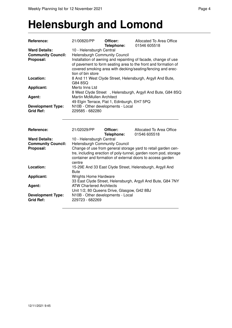#### **Helensburgh and Lomond**

| Reference:                                   | 21/00820/PP                                                                                                                                                                                                          | Officer:<br>Telephone:                       | Allocated To Area Office<br>01546 605518                                                                                                                                                        |  |
|----------------------------------------------|----------------------------------------------------------------------------------------------------------------------------------------------------------------------------------------------------------------------|----------------------------------------------|-------------------------------------------------------------------------------------------------------------------------------------------------------------------------------------------------|--|
| <b>Ward Details:</b>                         | 10 - Helensburgh Central                                                                                                                                                                                             |                                              |                                                                                                                                                                                                 |  |
| <b>Community Council:</b>                    | <b>Helensburgh Community Council</b>                                                                                                                                                                                 |                                              |                                                                                                                                                                                                 |  |
| Proposal:                                    | Installation of awning and repainting of facade, change of use<br>of pavement to form seating area to the front and formation of<br>covered smoking area with decking/seating/fencing and erec-<br>tion of bin store |                                              |                                                                                                                                                                                                 |  |
| Location:                                    | 8 And 11 West Clyde Street, Helensburgh, Argyll And Bute,<br>G84 8SQ                                                                                                                                                 |                                              |                                                                                                                                                                                                 |  |
| <b>Applicant:</b>                            | Merto Inns Ltd                                                                                                                                                                                                       |                                              |                                                                                                                                                                                                 |  |
|                                              |                                                                                                                                                                                                                      |                                              | 8 West Clyde Street, Helensburgh, Argyll And Bute, G84 8SQ                                                                                                                                      |  |
| Agent:                                       | <b>Martin McMullen Architect</b>                                                                                                                                                                                     |                                              |                                                                                                                                                                                                 |  |
|                                              |                                                                                                                                                                                                                      | 49 Elgin Terrace, Flat 1, Edinburgh, EH7 5PQ |                                                                                                                                                                                                 |  |
| <b>Development Type:</b>                     | N10B - Other developments - Local                                                                                                                                                                                    |                                              |                                                                                                                                                                                                 |  |
| <b>Grid Ref:</b>                             | 229585 - 682280                                                                                                                                                                                                      |                                              |                                                                                                                                                                                                 |  |
| Reference:                                   | 21/02029/PP                                                                                                                                                                                                          | Officer:<br>Telephone:                       | Allocated To Area Office<br>01546 605518                                                                                                                                                        |  |
| <b>Ward Details:</b>                         | 10 - Helensburgh Central                                                                                                                                                                                             |                                              |                                                                                                                                                                                                 |  |
| <b>Community Council:</b>                    | <b>Helensburgh Community Council</b>                                                                                                                                                                                 |                                              |                                                                                                                                                                                                 |  |
| Proposal:                                    | centre                                                                                                                                                                                                               |                                              | Change of use from general storage yard to retail garden cen-<br>tre, including erection of poly-tunnel, garden room pod, storage<br>container and formation of external doors to access garden |  |
| Location:                                    | 15-29E And 33 East Clyde Street, Helensburgh, Argyll And<br><b>Bute</b>                                                                                                                                              |                                              |                                                                                                                                                                                                 |  |
| <b>Applicant:</b>                            | <b>Wrights Home Hardware</b><br>33 East Clyde Street, Helensburgh, Argyll And Bute, G84 7NY                                                                                                                          |                                              |                                                                                                                                                                                                 |  |
| Agent:                                       | <b>ATW Chartered Architects</b><br>Unit 1/2, 80 Queens Drive, Glasgow, G42 8BJ                                                                                                                                       |                                              |                                                                                                                                                                                                 |  |
| <b>Development Type:</b><br><b>Grid Ref:</b> | N10B - Other developments - Local<br>229723 - 682269                                                                                                                                                                 |                                              |                                                                                                                                                                                                 |  |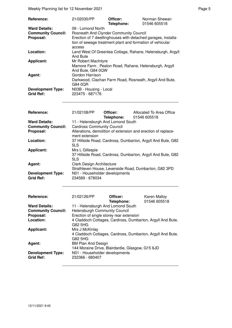Weekly Planning list for 12 November 2021 **Page 5** Page 5

| <b>Reference:</b>                            | 21/02030/PP                                                                                       | Officer:<br>Telephone: | Norman Shewan<br>01546 605518                                 |
|----------------------------------------------|---------------------------------------------------------------------------------------------------|------------------------|---------------------------------------------------------------|
| <b>Ward Details:</b>                         | 09 - Lomond North                                                                                 |                        |                                                               |
| <b>Community Council:</b>                    | <b>Rosneath And Clynder Community Council</b>                                                     |                        |                                                               |
| Proposal:                                    | tion of sewage treatment plant and formation of vehicular<br>access                               |                        | Erection of 7 dwellinghouses with detached garages, installa- |
| Location:                                    | And Bute                                                                                          |                        | Land West Of Greenlea Cottage, Rahane, Helensburgh, Argyll    |
| <b>Applicant:</b>                            | Mr Robert MacIntyre<br>Mamore Farm, Peaton Road, Rahane, Helensburgh, Argyll<br>And Bute, G84 0QW |                        |                                                               |
| Agent:                                       | Gordon Harrison<br>Darkwood, Clachan Farm Road, Rosneath, Argyll And Bute,<br>G84 0QR             |                        |                                                               |
| <b>Development Type:</b><br><b>Grid Ref:</b> | N03B - Housing - Local<br>223475 - 687176                                                         |                        |                                                               |

| <b>Reference:</b>                            | 21/02108/PP                                                                           | Officer:<br>Telephone: | Allocated To Area Office<br>01546 605518              |  |
|----------------------------------------------|---------------------------------------------------------------------------------------|------------------------|-------------------------------------------------------|--|
| <b>Ward Details:</b>                         | 11 - Helensburgh And Lomond South                                                     |                        |                                                       |  |
| <b>Community Council:</b>                    | <b>Cardross Community Council</b>                                                     |                        |                                                       |  |
| Proposal:                                    | Alterations, demolition of extension and erection of replace-<br>ment extension       |                        |                                                       |  |
| Location:                                    | 37 Hillside Road, Cardross, Dumbarton, Argyll And Bute, G82<br>5LS                    |                        |                                                       |  |
| <b>Applicant:</b>                            | Mrs L Gillespie<br>37 Hillside Road, Cardross, Dumbarton, Argyll And Bute, G82<br>5LS |                        |                                                       |  |
| Agent:                                       | <b>Clark Design Architecture</b>                                                      |                        | Strathleven House, Levenside Road, Dumbarton, G82 3PD |  |
| <b>Development Type:</b><br><b>Grid Ref:</b> | N01 - Householder developments<br>234589 - 678034                                     |                        |                                                       |  |

| Reference:                | 21/02126/PP                                                | Officer:   | <b>Karen Malloy</b> |
|---------------------------|------------------------------------------------------------|------------|---------------------|
|                           |                                                            | Telephone: | 01546 605518        |
| <b>Ward Details:</b>      | 11 - Helensburgh And Lomond South                          |            |                     |
| <b>Community Council:</b> | <b>Helensburgh Community Council</b>                       |            |                     |
| Proposal:                 | Erection of single storey rear extension                   |            |                     |
| Location:                 | 4 Claddoch Cottages, Cardross, Dumbarton, Argyll And Bute, |            |                     |
|                           | G82 5HG                                                    |            |                     |
| <b>Applicant:</b>         | Mrs J McKinlay                                             |            |                     |
|                           | 4 Claddoch Cottages, Cardross, Dumbarton, Argyll And Bute, |            |                     |
|                           | G82 5HG                                                    |            |                     |
| Agent:                    | <b>BM Plan And Design</b>                                  |            |                     |
|                           | 144 Moraine Drive, Blairdardie, Glasgow, G15 6JD           |            |                     |
| <b>Development Type:</b>  | N01 - Householder developments                             |            |                     |
| <b>Grid Ref:</b>          | 232366 - 680407                                            |            |                     |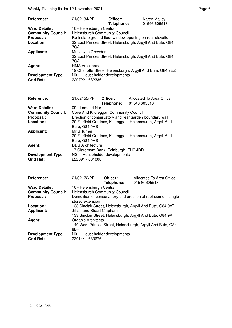Weekly Planning list for 12 November 2021 **Page 6** Page 6

| Reference:                | 21/02134/PP                                                | Officer:   | <b>Karen Malloy</b> |
|---------------------------|------------------------------------------------------------|------------|---------------------|
|                           |                                                            | Telephone: | 01546 605518        |
| <b>Ward Details:</b>      | 10 - Helensburgh Central                                   |            |                     |
| <b>Community Council:</b> | <b>Helensburgh Community Council</b>                       |            |                     |
| Proposal:                 | Re-instate ground floor window opening on rear elevation   |            |                     |
| Location:                 | 32 East Princes Street, Helensburgh, Argyll And Bute, G84  |            |                     |
|                           | 7QA                                                        |            |                     |
| <b>Applicant:</b>         | Mrs Joyce Growden                                          |            |                     |
|                           | 32 East Princes Street, Helensburgh, Argyll And Bute, G84  |            |                     |
|                           | 7QA                                                        |            |                     |
| Agent:                    | <b>HMA Architects</b>                                      |            |                     |
|                           | 19 Charlotte Street, Helensburgh, Argyll And Bute, G84 7EZ |            |                     |
| <b>Development Type:</b>  | N01 - Householder developments                             |            |                     |
| <b>Grid Ref:</b>          | 229722 - 682336                                            |            |                     |

| <b>Reference:</b>         | 21/02155/PP Officer:                  | Telephone: | Allocated To Area Office<br>01546 605518                  |
|---------------------------|---------------------------------------|------------|-----------------------------------------------------------|
| <b>Ward Details:</b>      | 09 - Lomond North                     |            |                                                           |
| <b>Community Council:</b> | Cove And Kilcreggan Community Council |            |                                                           |
| Proposal:                 |                                       |            | Erection of conservatory and rear garden boundary wall    |
| Location:                 |                                       |            | 20 Fairfield Gardens, Kilcreggan, Helensburgh, Argyll And |
|                           | Bute, G84 0HS                         |            |                                                           |
| <b>Applicant:</b>         | Mr S Turner                           |            |                                                           |
|                           |                                       |            | 20 Fairfield Gardens, Kilcreggan, Helensburgh, Argyll And |
|                           | Bute, G84 0HS                         |            |                                                           |
| Agent:                    | <b>DDS Architecture</b>               |            |                                                           |
|                           | 17 Claremont Bank, Edinburgh, EH7 4DR |            |                                                           |
| <b>Development Type:</b>  | N01 - Householder developments        |            |                                                           |
| <b>Grid Ref:</b>          | 222691 - 681000                       |            |                                                           |

| Reference:                                   | 21/02172/PP                                                | Officer:<br>Telephone: | Allocated To Area Office<br>01546 605518                      |
|----------------------------------------------|------------------------------------------------------------|------------------------|---------------------------------------------------------------|
| <b>Ward Details:</b>                         | 10 - Helensburgh Central                                   |                        |                                                               |
| <b>Community Council:</b>                    | Helensburgh Community Council                              |                        |                                                               |
| Proposal:                                    | storey extension                                           |                        | Demolition of conservatory and erection of replacement single |
| Location:                                    |                                                            |                        | 133 Sinclair Street, Helensburgh, Argyll And Bute, G84 9AT    |
| <b>Applicant:</b>                            | Jillian and Stuart Clapham                                 |                        |                                                               |
|                                              | 133 Sinclair Street, Helensburgh, Argyll And Bute, G84 9AT |                        |                                                               |
| Agent:                                       | Organic Architects                                         |                        |                                                               |
|                                              | 8BH                                                        |                        | 140 West Princes Street, Helensburgh, Argyll And Bute, G84    |
| <b>Development Type:</b><br><b>Grid Ref:</b> | N01 - Householder developments<br>230144 - 683676          |                        |                                                               |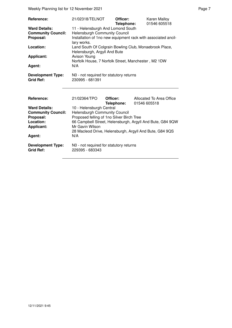Weekly Planning list for 12 November 2021 **Page 7** November 2021

| Reference:<br><b>Ward Details:</b><br><b>Community Council:</b><br>Proposal:<br>Location:<br><b>Applicant:</b><br>Agent:<br><b>Development Type:</b><br><b>Grid Ref:</b> | 21/02318/TELNOT<br>11 - Helensburgh And Lomond South<br><b>Helensburgh Community Council</b><br>lary works.<br>Helensburgh, Argyll And Bute<br>Avison Young<br>N/A<br>N0 - not required for statutory returns<br>230995 - 681391 | Officer:<br>Telephone: | Karen Malloy<br>01546 605518<br>Installation of 1no new equipment rack with associated ancil-<br>Land South Of Colgrain Bowling Club, Monaebrook Place,<br>Norfolk House, 7 Norfolk Street, Manchester, M2 1DW |
|--------------------------------------------------------------------------------------------------------------------------------------------------------------------------|----------------------------------------------------------------------------------------------------------------------------------------------------------------------------------------------------------------------------------|------------------------|----------------------------------------------------------------------------------------------------------------------------------------------------------------------------------------------------------------|
| Reference:<br><b>Ward Details:</b><br><b>Community Council:</b><br>Proposal:<br>Location:<br><b>Applicant:</b><br>Agent:<br><b>Development Type:</b><br><b>Grid Ref:</b> | 21/02364/TPO<br>10 - Helensburgh Central<br><b>Helensburgh Community Council</b><br>Proposed felling of 1no Silver Birch Tree<br>Mr Gavin Wilson<br>N/A<br>N0 - not required for statutory returns<br>229395 - 683343            | Officer:<br>Telephone: | Allocated To Area Office<br>01546 605518<br>66 Campbell Street, Helensburgh, Argyll And Bute, G84 9QW<br>28 Macleod Drive, Helensburgh, Argyll And Bute, G84 9QS                                               |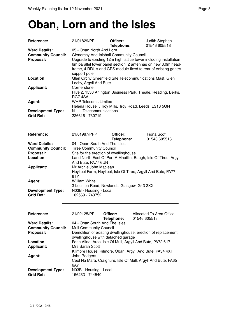# **Oban, Lorn and the Isles**

| Reference:                | 21/01829/PP                                                       | Officer:                                   | Judith Stephen                                                   |  |
|---------------------------|-------------------------------------------------------------------|--------------------------------------------|------------------------------------------------------------------|--|
|                           |                                                                   | Telephone:                                 | 01546 605518                                                     |  |
| <b>Ward Details:</b>      | 05 - Oban North And Lorn                                          |                                            |                                                                  |  |
| <b>Community Council:</b> | Glenorchy And Inishail Community Council                          |                                            |                                                                  |  |
| Proposal:                 | Upgrade to existing 12m high lattice tower including installation |                                            |                                                                  |  |
|                           |                                                                   |                                            | 6m parallel tower panel section, 2 antennas on new 3.0m head-    |  |
|                           |                                                                   |                                            | frame, 4 RRU's and GPS module fixed to rear of existing gantry   |  |
|                           | support pole                                                      |                                            |                                                                  |  |
| Location:                 |                                                                   |                                            | Glen Orchy Greenfield Site Telecommunications Mast, Glen         |  |
|                           | Lochy, Argyll And Bute                                            |                                            |                                                                  |  |
|                           | Cornerstone                                                       |                                            |                                                                  |  |
| <b>Applicant:</b>         |                                                                   |                                            |                                                                  |  |
|                           |                                                                   |                                            | Hive 2, 1530 Arlington Business Park, Theale, Reading, Berks,    |  |
|                           | <b>RG7 4SA</b>                                                    |                                            |                                                                  |  |
| Agent:                    | <b>WHP Telecoms Limited</b>                                       |                                            |                                                                  |  |
|                           |                                                                   |                                            | Helena House, Troy Mills, Troy Road, Leeds, LS18 5GN             |  |
| <b>Development Type:</b>  | N11 - Telecommunications                                          |                                            |                                                                  |  |
| <b>Grid Ref:</b>          | 226616 - 730719                                                   |                                            |                                                                  |  |
|                           |                                                                   |                                            |                                                                  |  |
|                           |                                                                   |                                            |                                                                  |  |
| Reference:                | 21/01987/PPP                                                      | Officer:                                   | <b>Fiona Scott</b>                                               |  |
|                           |                                                                   | Telephone:                                 | 01546 605518                                                     |  |
| <b>Ward Details:</b>      | 04 - Oban South And The Isles                                     |                                            |                                                                  |  |
| <b>Community Council:</b> | <b>Tiree Community Council</b>                                    |                                            |                                                                  |  |
| Proposal:                 |                                                                   | Site for the erection of dwellinghouse     |                                                                  |  |
| Location:                 |                                                                   |                                            | Land North East Of Port A Mhuillin, Baugh, Isle Of Tiree, Argyll |  |
|                           | And Bute, PA77 6UN                                                |                                            |                                                                  |  |
| <b>Applicant:</b>         | Mr Archie John Maclean                                            |                                            |                                                                  |  |
|                           |                                                                   |                                            | Heylipol Farm, Heylipol, Isle Of Tiree, Argyll And Bute, PA77    |  |
|                           | 6TY                                                               |                                            |                                                                  |  |
| Agent:                    | <b>William White</b>                                              |                                            |                                                                  |  |
|                           |                                                                   | 3 Lochlea Road, Newlands, Glasgow, G43 2XX |                                                                  |  |
| <b>Development Type:</b>  | N03B - Housing - Local                                            |                                            |                                                                  |  |
| <b>Grid Ref:</b>          | 102569 - 743752                                                   |                                            |                                                                  |  |
|                           |                                                                   |                                            |                                                                  |  |
|                           |                                                                   |                                            |                                                                  |  |
| Reference:                | 21/02125/PP                                                       | Officer:                                   | Allocated To Area Office                                         |  |
|                           |                                                                   | Telephone:                                 | 01546 605518                                                     |  |
| <b>Ward Details:</b>      | 04 - Oban South And The Isles                                     |                                            |                                                                  |  |
| <b>Community Council:</b> | <b>Mull Community Council</b>                                     |                                            |                                                                  |  |
| Proposal:                 |                                                                   |                                            | Demolition of existing dwellinghouse, erection of replacement    |  |
|                           |                                                                   | dwellinghouse with detached garage         |                                                                  |  |
| Location:                 |                                                                   |                                            | Fonn Aline, Aros, Isle Of Mull, Argyll And Bute, PA72 6JP        |  |
| <b>Applicant:</b>         | Mrs Sarah Scott                                                   |                                            |                                                                  |  |
|                           |                                                                   |                                            |                                                                  |  |
|                           |                                                                   |                                            | Kilmore House, Kilmore, Oban, Argyll And Bute, PA34 4XT          |  |
| Agent:                    | John Rodgers                                                      |                                            |                                                                  |  |
|                           |                                                                   |                                            | Ceol Na Mara, Craignure, Isle Of Mull, Argyll And Bute, PA65     |  |
|                           | 6AY                                                               |                                            |                                                                  |  |
| <b>Development Type:</b>  |                                                                   |                                            |                                                                  |  |
|                           | N03B - Housing - Local                                            |                                            |                                                                  |  |
| <b>Grid Ref:</b>          | 156233 - 744540                                                   |                                            |                                                                  |  |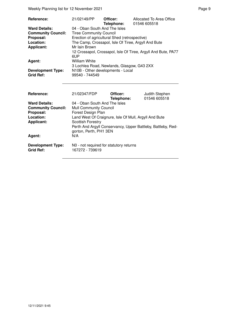Weekly Planning list for 12 November 2021 **Page 9** Page 9

| Reference:                | 21/02149/PP                                   | Officer:   | Allocated To Area Office                                      |
|---------------------------|-----------------------------------------------|------------|---------------------------------------------------------------|
|                           |                                               | Telephone: | 01546 605518                                                  |
| <b>Ward Details:</b>      | 04 - Oban South And The Isles                 |            |                                                               |
| <b>Community Council:</b> | <b>Tiree Community Council</b>                |            |                                                               |
| Proposal:                 | Erection of agricultural Shed (retrospective) |            |                                                               |
| Location:                 |                                               |            | The Camp, Crossapol, Isle Of Tiree, Argyll And Bute           |
| <b>Applicant:</b>         | Mr Iain Brown                                 |            |                                                               |
|                           |                                               |            | 12 Crossapol, Crossapol, Isle Of Tiree, Argyll And Bute, PA77 |
|                           | 6UP                                           |            |                                                               |
| Agent:                    | William White                                 |            |                                                               |
|                           | 3 Lochlea Road, Newlands, Glasgow, G43 2XX    |            |                                                               |
| <b>Development Type:</b>  | N10B - Other developments - Local             |            |                                                               |
| <b>Grid Ref:</b>          | 99540 - 744549                                |            |                                                               |

| <b>Reference:</b>                            | 21/02347/FDP                                                                           | Officer:<br>Telephone: | Judith Stephen<br>01546 605518 |
|----------------------------------------------|----------------------------------------------------------------------------------------|------------------------|--------------------------------|
| <b>Ward Details:</b>                         | 04 - Oban South And The Isles                                                          |                        |                                |
| <b>Community Council:</b>                    | <b>Mull Community Council</b>                                                          |                        |                                |
| Proposal:                                    | Forest Design Plan                                                                     |                        |                                |
| Location:                                    | Land West Of Craignure, Isle Of Mull, Argyll And Bute                                  |                        |                                |
| Applicant:                                   | <b>Scottish Forestry</b>                                                               |                        |                                |
|                                              | Perth And Argyll Conservancy, Upper Battleby, Battleby, Red-<br>gorton, Perth, PH1 3EN |                        |                                |
| Agent:                                       | N/A                                                                                    |                        |                                |
| <b>Development Type:</b><br><b>Grid Ref:</b> | NO - not required for statutory returns<br>167272 - 739619                             |                        |                                |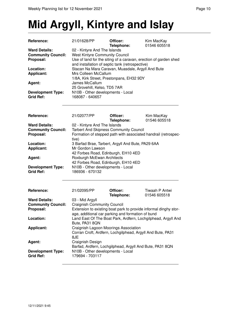## **Mid Argyll, Kintyre and Islay**

| <b>Reference:</b>         | 21/01628/PP                                                      | Officer:   | Kim MacKay   |
|---------------------------|------------------------------------------------------------------|------------|--------------|
|                           |                                                                  | Telephone: | 01546 605518 |
| <b>Ward Details:</b>      | 02 - Kintyre And The Islands                                     |            |              |
| <b>Community Council:</b> | <b>West Kintyre Community Council</b>                            |            |              |
| Proposal:                 | Use of land for the siting of a caravan, erection of garden shed |            |              |
|                           | and installation of septic tank (retrospective)                  |            |              |
| Location:                 | Stacan Na Mara Caravan, Muasdale, Argyll And Bute                |            |              |
| <b>Applicant:</b>         | Mrs Colleen McCallum                                             |            |              |
|                           | 1/8A, Kirk Street, Prestonpans, EH32 9DY                         |            |              |
| Agent:                    | James McCallum                                                   |            |              |
|                           | 25 Grovehill, Kelso, TD5 7AR                                     |            |              |
| <b>Development Type:</b>  | N10B - Other developments - Local                                |            |              |
| <b>Grid Ref:</b>          | 168087 - 640657                                                  |            |              |
|                           |                                                                  |            |              |
|                           |                                                                  |            |              |
|                           |                                                                  |            |              |

| Reference:                | 21/02077/PP                                                    | Officer:   | Kim MacKay   |
|---------------------------|----------------------------------------------------------------|------------|--------------|
|                           |                                                                | Telephone: | 01546 605518 |
| <b>Ward Details:</b>      | 02 - Kintyre And The Islands                                   |            |              |
| <b>Community Council:</b> | <b>Tarbert And Skipness Community Council</b>                  |            |              |
| Proposal:                 | Formation of stepped path with associated handrail (retrospec- |            |              |
|                           | tive)                                                          |            |              |
| Location:                 | 3 Barfad Brae, Tarbert, Argyll And Bute, PA29 6AA              |            |              |
| <b>Applicant:</b>         | Mr Gordon Lawson                                               |            |              |
|                           | 42 Forbes Road, Edinburgh, EH10 4ED                            |            |              |
| Agent:                    | Roxburgh McEwan Architects                                     |            |              |
|                           | 42 Forbes Road, Edinburgh, EH10 4ED                            |            |              |
| <b>Development Type:</b>  | N10B - Other developments - Local                              |            |              |
| <b>Grid Ref:</b>          | 186936 - 670132                                                |            |              |

| Reference:                                   | 21/02095/PP                                                                                                           | Officer:<br>Telephone: | Tiwaah P Antwi<br>01546 605518                                |
|----------------------------------------------|-----------------------------------------------------------------------------------------------------------------------|------------------------|---------------------------------------------------------------|
| <b>Ward Details:</b>                         | 03 - Mid Argyll                                                                                                       |                        |                                                               |
| <b>Community Council:</b>                    | <b>Craignish Community Council</b>                                                                                    |                        |                                                               |
| Proposal:                                    | Extension to existing boat park to provide informal dinghy stor-<br>age, additional car parking and formation of bund |                        |                                                               |
| Location:                                    | Bute, PA31 8QN                                                                                                        |                        | Land East Of The Boat Park, Ardfern, Lochgilphead, Argyll And |
| <b>Applicant:</b>                            | Craignish Lagoon Moorings Association<br>Corran Croft, Ardfern, Lochgilphead, Argyll And Bute, PA31<br>8JE            |                        |                                                               |
| Agent:                                       | Craignish Design<br>Barfad, Ardfern, Lochgilphead, Argyll And Bute, PA31 8QN                                          |                        |                                                               |
| <b>Development Type:</b><br><b>Grid Ref:</b> | N10B - Other developments - Local<br>179694 - 703117                                                                  |                        |                                                               |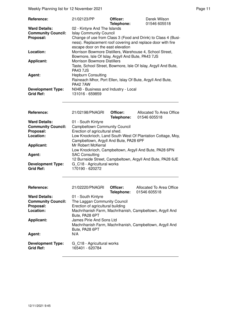Weekly Planning list for 12 November 2021 **Page 11** November 2021

| <b>Reference:</b>                            | 21/02123/PP                                                                                                                                                       | Officer:<br>Telephone: | Derek Wilson<br>01546 605518 |
|----------------------------------------------|-------------------------------------------------------------------------------------------------------------------------------------------------------------------|------------------------|------------------------------|
| <b>Ward Details:</b>                         | 02 - Kintyre And The Islands                                                                                                                                      |                        |                              |
| <b>Community Council:</b>                    | <b>Islay Community Council</b>                                                                                                                                    |                        |                              |
| Proposal:                                    | Change of use from Class 3 (Food and Drink) to Class 4 (Busi-<br>ness). Replacement roof covering and replace door with fire<br>escape door on the east elevation |                        |                              |
| Location:                                    | Morrison Bowmore Distillers, Warehouse 4, School Street,<br>Bowmore, Isle Of Islay, Argyll And Bute, PA43 7JS                                                     |                        |                              |
| <b>Applicant:</b>                            | Morrison Bowmore Distillers<br>Taste, School Street, Bowmore, Isle Of Islay, Argyll And Bute,<br><b>PA43 7.IS</b>                                                 |                        |                              |
| Agent:                                       | <b>Hepburn Consulting</b><br>Raineach Mhor, Port Ellen, Islay Of Bute, Argyll And Bute,<br><b>PA42 7AW</b>                                                        |                        |                              |
| <b>Development Type:</b><br><b>Grid Ref:</b> | N04B - Business and Industry - Local<br>131016 - 659859                                                                                                           |                        |                              |

| <b>Reference:</b>                                              | 21/02198/PNAGRI                                                                                                         | Officer:<br>Telephone: | Allocated To Area Office<br>01546 605518 |  |
|----------------------------------------------------------------|-------------------------------------------------------------------------------------------------------------------------|------------------------|------------------------------------------|--|
| <b>Ward Details:</b><br><b>Community Council:</b><br>Proposal: | 01 - South Kintyre<br><b>Campbeltown Community Council</b><br>Erection of agricultural shed.                            |                        |                                          |  |
| Location:                                                      | Low Knockrioch, Land South West Of Plantation Cottage, Moy,<br>Campbeltown, Argyll And Bute, PA28 6PF                   |                        |                                          |  |
| <b>Applicant:</b>                                              | Mr Robert McKerral<br>Low Knockrioch, Campbeltown, Argyll And Bute, PA28 6PN                                            |                        |                                          |  |
| Agent:                                                         | <b>SAC Consulting</b><br>12 Burnside Street, Campbeltown, Argyll And Bute, PA28 6JE                                     |                        |                                          |  |
| <b>Development Type:</b><br><b>Grid Ref:</b>                   | G C18 - Agricultural works<br>170190 - 620272                                                                           |                        |                                          |  |
| Reference:                                                     | 21/02220/PNAGRI                                                                                                         | Officer:<br>Telephone: | Allocated To Area Office<br>01546 605518 |  |
| <b>Ward Details:</b><br><b>Community Council:</b>              | 01 - South Kintyre<br>The Laggan Community Council                                                                      |                        |                                          |  |
| Proposal:                                                      | Erection of agricultural building<br>المعر فالربيعين فاستنجلت والمتعموم فالمتعرض والمعارف والمستحل والمتعرض والمتعالمها |                        |                                          |  |

| <b>Community Council:</b>                    | The Laggan Community Council                                               |
|----------------------------------------------|----------------------------------------------------------------------------|
| Proposal:                                    | Erection of agricultural building                                          |
| Location:                                    | Machrihanish Farm, Machrihanish, Campbeltown, Argyll And<br>Bute, PA28 6PT |
| <b>Applicant:</b>                            | James Pirie And Sons Ltd                                                   |
|                                              | Machrihanish Farm, Machrihanish, Campbeltown, Argyll And<br>Bute, PA28 6PT |
| Agent:                                       | N/A                                                                        |
| <b>Development Type:</b><br><b>Grid Ref:</b> | G C18 - Agricultural works<br>165401 - 620784                              |